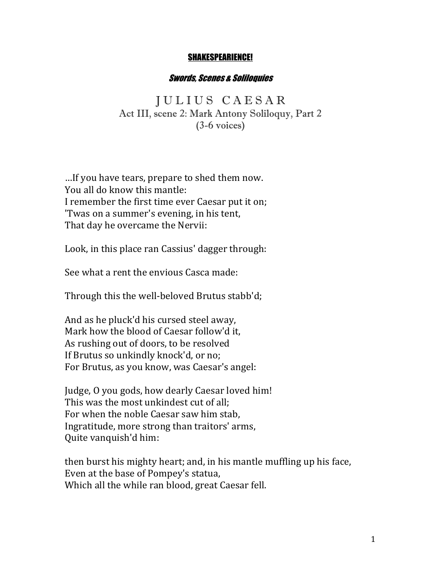## SHAKESPEARIENCE!

## Swords, Scenes & Soliloquies

J U L I U S C A E S A R Act III, scene 2: Mark Antony Soliloquy, Part 2 (3-6 voices)

... If you have tears, prepare to shed them now. You all do know this mantle: I remember the first time ever Caesar put it on; 'Twas on a summer's evening, in his tent, That day he overcame the Nervii:

Look, in this place ran Cassius' dagger through:

See what a rent the envious Casca made:

Through this the well-beloved Brutus stabb'd;

And as he pluck'd his cursed steel away, Mark how the blood of Caesar follow'd it, As rushing out of doors, to be resolved If Brutus so unkindly knock'd, or no; For Brutus, as you know, was Caesar's angel:

Judge, O you gods, how dearly Caesar loved him! This was the most unkindest cut of all; For when the noble Caesar saw him stab, Ingratitude, more strong than traitors' arms, Quite vanquish'd him:

then burst his mighty heart; and, in his mantle muffling up his face, Even at the base of Pompey's statua, Which all the while ran blood, great Caesar fell.